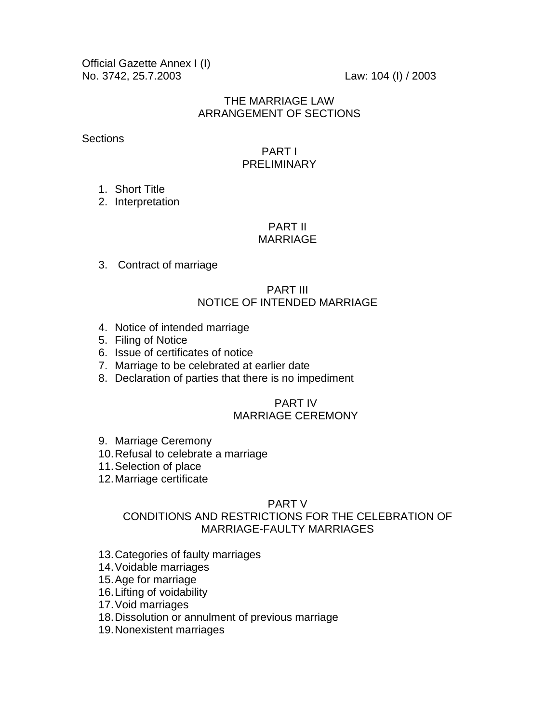Official Gazette Annex I (I) No. 3742, 25.7.2003 Law: 104 (I) / 2003

#### THE MARRIAGE LAW ARRANGEMENT OF SECTIONS

**Sections** 

#### PART I PRELIMINARY

1. Short Title

2. Interpretation

#### PART II MARRIAGE

3. Contract of marriage

#### PART III NOTICE OF INTENDED MARRIAGE

- 4. Notice of intended marriage
- 5. Filing of Notice
- 6. Issue of certificates of notice
- 7. Marriage to be celebrated at earlier date
- 8. Declaration of parties that there is no impediment

#### PART IV MARRIAGE CEREMONY

- 9. Marriage Ceremony
- 10.Refusal to celebrate a marriage
- 11.Selection of place
- 12.Marriage certificate

#### PART V

## CONDITIONS AND RESTRICTIONS FOR THE CELEBRATION OF MARRIAGE-FAULTY MARRIAGES

- 13.Categories of faulty marriages
- 14.Voidable marriages
- 15.Age for marriage
- 16.Lifting of voidability
- 17.Void marriages
- 18.Dissolution or annulment of previous marriage
- 19.Nonexistent marriages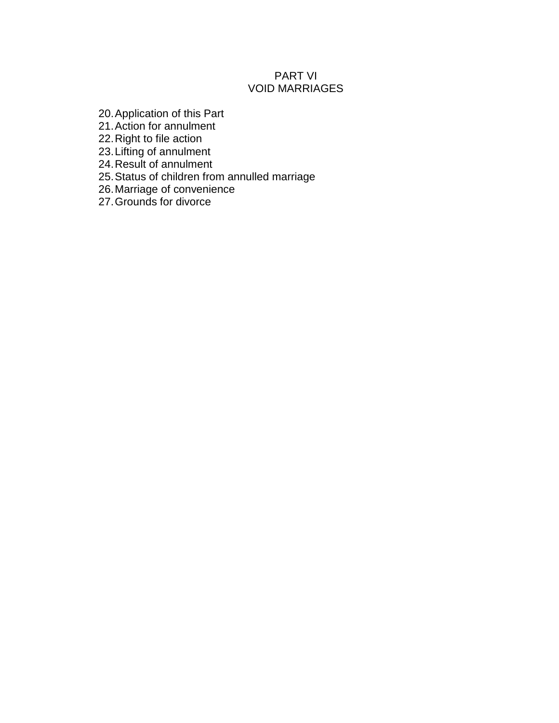## PART VI VOID MARRIAGES

- 20.Application of this Part
- 21.Action for annulment
- 22.Right to file action
- 23.Lifting of annulment
- 24.Result of annulment
- 25.Status of children from annulled marriage
- 26.Marriage of convenience
- 27.Grounds for divorce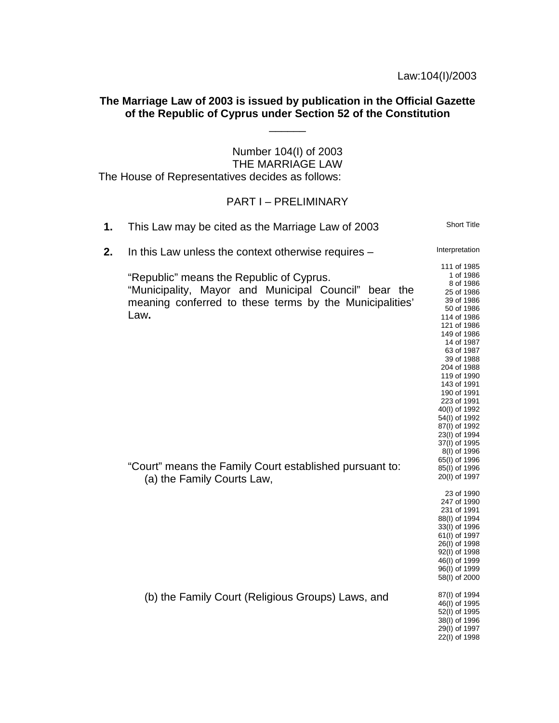## **The Marriage Law of 2003 is issued by publication in the Official Gazette of the Republic of Cyprus under Section 52 of the Constitution**

 $\overline{\phantom{a}}$ 

Number 104(I) of 2003 THE MARRIAGE LAW The House of Representatives decides as follows:

#### PART I – PRELIMINARY

| 1. | This Law may be cited as the Marriage Law of 2003                                                                                                                   | <b>Short Title</b>                                                                                                                                                                                                                                                                                                                     |
|----|---------------------------------------------------------------------------------------------------------------------------------------------------------------------|----------------------------------------------------------------------------------------------------------------------------------------------------------------------------------------------------------------------------------------------------------------------------------------------------------------------------------------|
| 2. | In this Law unless the context otherwise requires -                                                                                                                 | Interpretation                                                                                                                                                                                                                                                                                                                         |
|    | "Republic" means the Republic of Cyprus.<br>"Municipality, Mayor and Municipal Council" bear the<br>meaning conferred to these terms by the Municipalities'<br>Law. | 111 of 1985<br>1 of 1986<br>8 of 1986<br>25 of 1986<br>39 of 1986<br>50 of 1986<br>114 of 1986<br>121 of 1986<br>149 of 1986<br>14 of 1987<br>63 of 1987<br>39 of 1988<br>204 of 1988<br>119 of 1990<br>143 of 1991<br>190 of 1991<br>223 of 1991<br>40(I) of 1992<br>54(I) of 1992<br>87(I) of 1992<br>23(I) of 1994<br>37(I) of 1995 |
|    | "Court" means the Family Court established pursuant to:<br>(a) the Family Courts Law,                                                                               | 8(I) of 1996<br>65(I) of 1996<br>85(I) of 1996<br>20(I) of 1997                                                                                                                                                                                                                                                                        |
|    |                                                                                                                                                                     | 23 of 1990<br>247 of 1990<br>231 of 1991<br>88(I) of 1994<br>33(I) of 1996<br>61(I) of 1997<br>26(I) of 1998<br>92(I) of 1998<br>46(I) of 1999<br>96(I) of 1999<br>58(I) of 2000                                                                                                                                                       |
|    | (b) the Family Court (Religious Groups) Laws, and                                                                                                                   | 87(I) of 1994<br>46(I) of 1995<br>52(I) of 1995<br>38(I) of 1996<br>29(I) of 1997<br>22(I) of 1998                                                                                                                                                                                                                                     |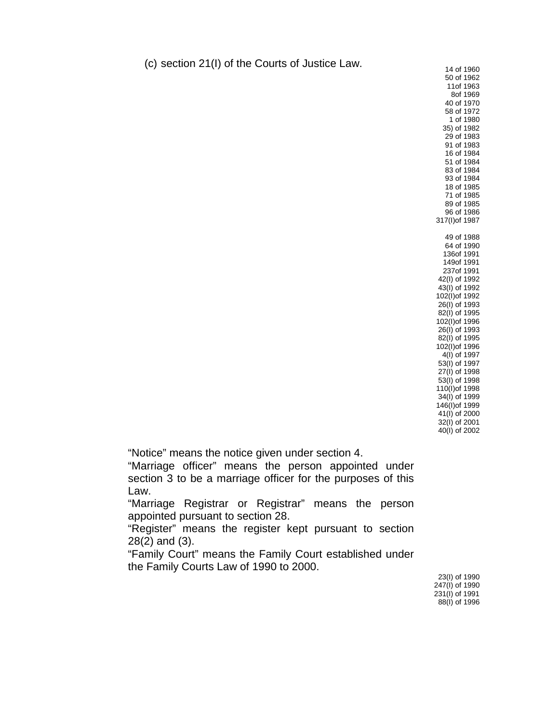(c) section  $21(1)$  of the Courts of Justice Law. 14 of 1960

50 of 1962 11of 1963 8of 1969 40 of 1970 58 of 1972 1 of 1980 35) of 1982 29 of 1983 91 of 1983 16 of 1984 51 of 1984 83 of 1984 93 of 1984 18 of 1985 71 of 1985 89 of 1985 96 of 1986 317(I)of 1987 49 of 1988 64 of 1990 136of 1991 149of 1991 237of 1991 42(I) of 1992 43(I) of 1992 102(I)of 1992 26(I) of 1993 82(I) of 1995 102(I)of 1996 26(I) of 1993 82(I) of 1995 102(I)of 1996 4(I) of 1997 53(I) of 1997 27(I) of 1998 53(I) of 1998 110(I)of 1998 34(I) of 1999 146(I)of 1999 41(I) of 2000 32(I) of 2001 40(I) of 2002

"Notice" means the notice given under section 4.

"Marriage officer" means the person appointed under section 3 to be a marriage officer for the purposes of this Law.

"Marriage Registrar or Registrar" means the person appointed pursuant to section 28.

"Register" means the register kept pursuant to section 28(2) and (3).

"Family Court" means the Family Court established under the Family Courts Law of 1990 to 2000.

23(I) of 1990 247(I) of 1990 231(I) of 1991 88(I) of 1996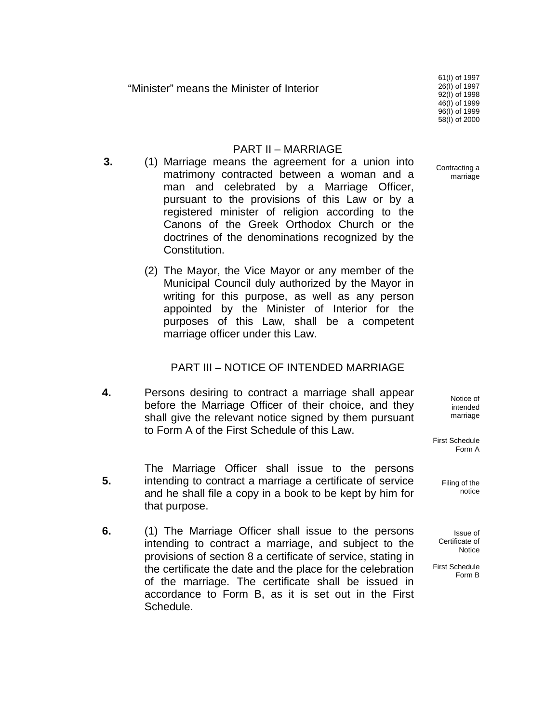"Minister" means the Minister of Interior

61(I) of 1997 26(I) of 1997 92(I) of 1998 46(I) of 1999 96(I) of 1999 58(I) of 2000

#### PART II – MARRIAGE

- **3.** (1) Marriage means the agreement for a union into matrimony contracted between a woman and a man and celebrated by a Marriage Officer, pursuant to the provisions of this Law or by a registered minister of religion according to the Canons of the Greek Orthodox Church or the doctrines of the denominations recognized by the Constitution.
	- (2) The Mayor, the Vice Mayor or any member of the Municipal Council duly authorized by the Mayor in writing for this purpose, as well as any person appointed by the Minister of Interior for the purposes of this Law, shall be a competent marriage officer under this Law.

#### PART III – NOTICE OF INTENDED MARRIAGE

- **4.** Persons desiring to contract a marriage shall appear before the Marriage Officer of their choice, and they shall give the relevant notice signed by them pursuant to Form A of the First Schedule of this Law.
	- The Marriage Officer shall issue to the persons intending to contract a marriage a certificate of service and he shall file a copy in a book to be kept by him for that purpose.

**5.**

**6.** (1) The Marriage Officer shall issue to the persons intending to contract a marriage, and subject to the provisions of section 8 a certificate of service, stating in the certificate the date and the place for the celebration of the marriage. The certificate shall be issued in accordance to Form B, as it is set out in the First Schedule.

Contracting a marriage

> Notice of intended marriage

First Schedule Form A

> Filing of the notice

Issue of Certificate of **Notice** 

First Schedule Form B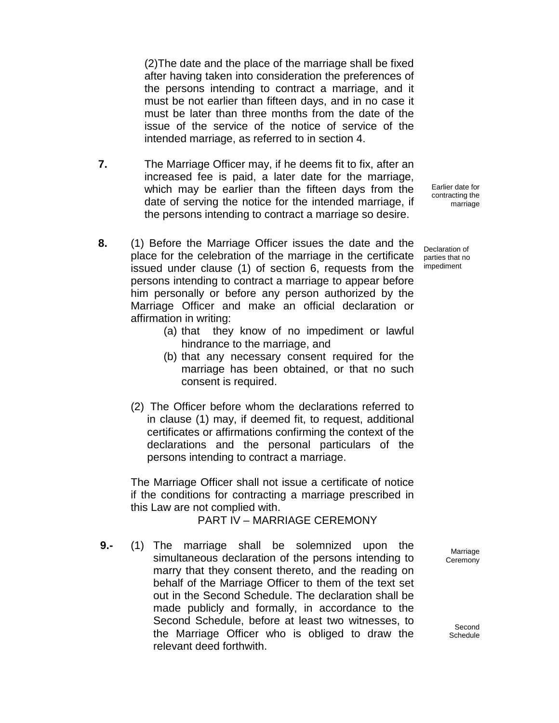(2)The date and the place of the marriage shall be fixed after having taken into consideration the preferences of the persons intending to contract a marriage, and it must be not earlier than fifteen days, and in no case it must be later than three months from the date of the issue of the service of the notice of service of the intended marriage, as referred to in section 4.

- **7.** The Marriage Officer may, if he deems fit to fix, after an increased fee is paid, a later date for the marriage, which may be earlier than the fifteen days from the date of serving the notice for the intended marriage, if the persons intending to contract a marriage so desire.
- **8.** (1) Before the Marriage Officer issues the date and the place for the celebration of the marriage in the certificate issued under clause (1) of section 6, requests from the persons intending to contract a marriage to appear before him personally or before any person authorized by the Marriage Officer and make an official declaration or affirmation in writing:
	- (a) that they know of no impediment or lawful hindrance to the marriage, and
	- (b) that any necessary consent required for the marriage has been obtained, or that no such consent is required.
	- (2) The Officer before whom the declarations referred to in clause (1) may, if deemed fit, to request, additional certificates or affirmations confirming the context of the declarations and the personal particulars of the persons intending to contract a marriage.

The Marriage Officer shall not issue a certificate of notice if the conditions for contracting a marriage prescribed in this Law are not complied with.

#### PART IV – MARRIAGE CEREMONY

**9.-** (1) The marriage shall be solemnized upon the simultaneous declaration of the persons intending to marry that they consent thereto, and the reading on behalf of the Marriage Officer to them of the text set out in the Second Schedule. The declaration shall be made publicly and formally, in accordance to the Second Schedule, before at least two witnesses, to the Marriage Officer who is obliged to draw the relevant deed forthwith.

Earlier date for contracting the marriage

Declaration of parties that no impediment

> Marriage **Ceremony**

Second Schedule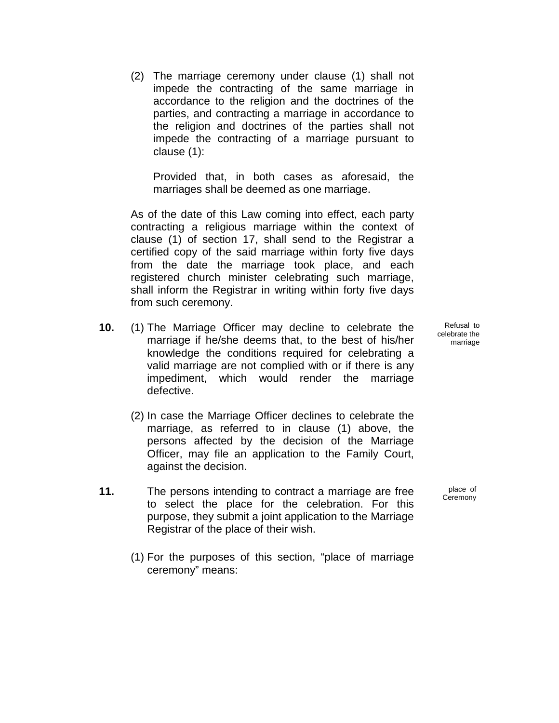(2) The marriage ceremony under clause (1) shall not impede the contracting of the same marriage in accordance to the religion and the doctrines of the parties, and contracting a marriage in accordance to the religion and doctrines of the parties shall not impede the contracting of a marriage pursuant to clause (1):

Provided that, in both cases as aforesaid, the marriages shall be deemed as one marriage.

As of the date of this Law coming into effect, each party contracting a religious marriage within the context of clause (1) of section 17, shall send to the Registrar a certified copy of the said marriage within forty five days from the date the marriage took place, and each registered church minister celebrating such marriage, shall inform the Registrar in writing within forty five days from such ceremony.

- **10.** (1) The Marriage Officer may decline to celebrate the marriage if he/she deems that, to the best of his/her knowledge the conditions required for celebrating a valid marriage are not complied with or if there is any impediment, which would render the marriage defective.
	- (2) In case the Marriage Officer declines to celebrate the marriage, as referred to in clause (1) above, the persons affected by the decision of the Marriage Officer, may file an application to the Family Court, against the decision.
- **11.** The persons intending to contract a marriage are free to select the place for the celebration. For this purpose, they submit a joint application to the Marriage Registrar of the place of their wish.
	- (1) For the purposes of this section, "place of marriage ceremony" means:

Refusal to celebrate the marriage

place of Ceremony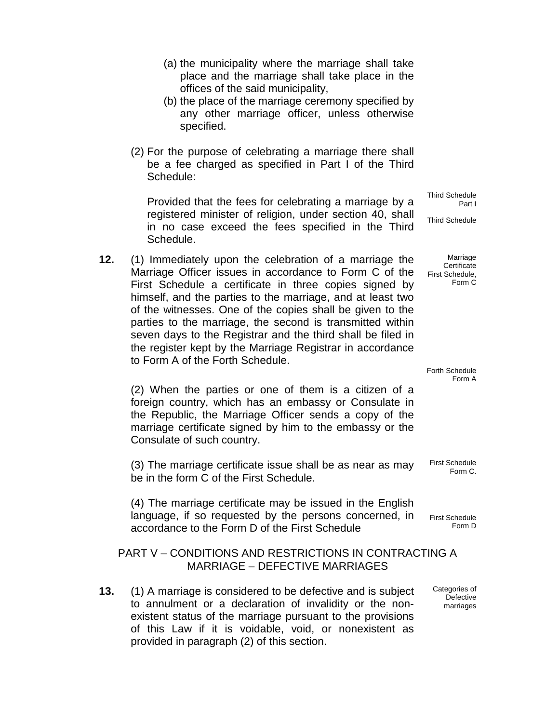- (a) the municipality where the marriage shall take place and the marriage shall take place in the offices of the said municipality,
- (b) the place of the marriage ceremony specified by any other marriage officer, unless otherwise specified.
- (2) For the purpose of celebrating a marriage there shall be a fee charged as specified in Part I of the Third Schedule:

Provided that the fees for celebrating a marriage by a registered minister of religion, under section 40, shall in no case exceed the fees specified in the Third Schedule.

**12.** (1) Immediately upon the celebration of a marriage the Marriage Officer issues in accordance to Form C of the First Schedule a certificate in three copies signed by himself, and the parties to the marriage, and at least two of the witnesses. One of the copies shall be given to the parties to the marriage, the second is transmitted within seven days to the Registrar and the third shall be filed in the register kept by the Marriage Registrar in accordance to Form A of the Forth Schedule.

(2) When the parties or one of them is a citizen of a foreign country, which has an embassy or Consulate in the Republic, the Marriage Officer sends a copy of the marriage certificate signed by him to the embassy or the Consulate of such country.

(3) The marriage certificate issue shall be as near as may be in the form C of the First Schedule.

(4) The marriage certificate may be issued in the English language, if so requested by the persons concerned, in accordance to the Form D of the First Schedule

#### PART V – CONDITIONS AND RESTRICTIONS IN CONTRACTING A MARRIAGE – DEFECTIVE MARRIAGES

**13.** (1) A marriage is considered to be defective and is subject to annulment or a declaration of invalidity or the nonexistent status of the marriage pursuant to the provisions of this Law if it is voidable, void, or nonexistent as provided in paragraph (2) of this section.

Third Schedule Part I

Third Schedule

Marriage **Certificate** First Schedule, Form C

Forth Schedule Form A

First Schedule Form C.

First Schedule Form D

Categories of **Defective** marriages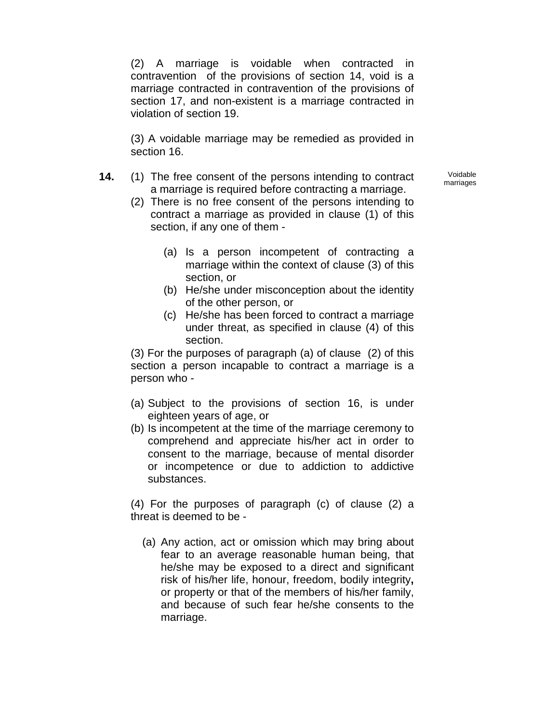(2) A marriage is voidable when contracted in contravention of the provisions of section 14, void is a marriage contracted in contravention of the provisions of section 17, and non-existent is a marriage contracted in violation of section 19.

(3) A voidable marriage may be remedied as provided in section 16.

- **14.** (1) The free consent of the persons intending to contract a marriage is required before contracting a marriage.
	- (2) There is no free consent of the persons intending to contract a marriage as provided in clause (1) of this section, if any one of them -
		- (a) Is a person incompetent of contracting a marriage within the context of clause (3) of this section, or
		- (b) He/she under misconception about the identity of the other person, or
		- (c) He/she has been forced to contract a marriage under threat, as specified in clause (4) of this section.

(3) For the purposes of paragraph (a) of clause (2) of this section a person incapable to contract a marriage is a person who -

- (a) Subject to the provisions of section 16, is under eighteen years of age, or
- (b) Is incompetent at the time of the marriage ceremony to comprehend and appreciate his/her act in order to consent to the marriage, because of mental disorder or incompetence or due to addiction to addictive substances.

(4) For the purposes of paragraph (c) of clause (2) a threat is deemed to be -

(a) Any action, act or omission which may bring about fear to an average reasonable human being, that he/she may be exposed to a direct and significant risk of his/her life, honour, freedom, bodily integrity**,** or property or that of the members of his/her family, and because of such fear he/she consents to the marriage.

Voidable marriages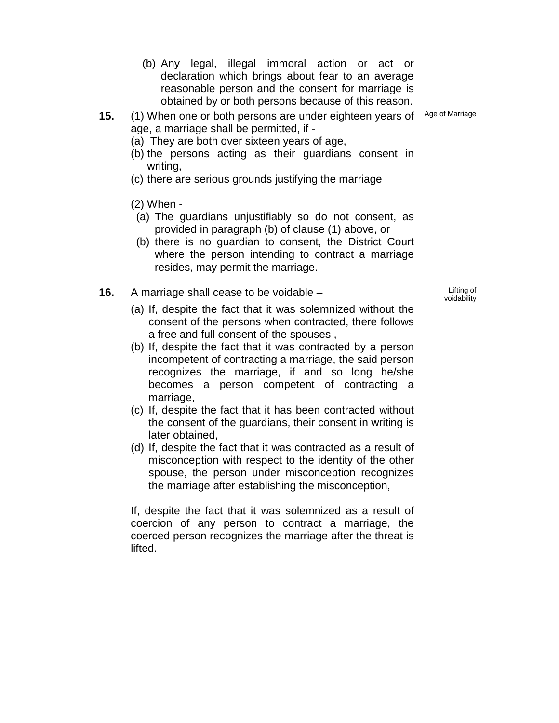- (b) Any legal, illegal immoral action or act or declaration which brings about fear to an average reasonable person and the consent for marriage is obtained by or both persons because of this reason.
- **15.** (1) When one or both persons are under eighteen years of Age of Marriage age, a marriage shall be permitted, if -
	- (a) They are both over sixteen years of age,
	- (b) the persons acting as their guardians consent in writing,
	- (c) there are serious grounds justifying the marriage
	- (2) When -
	- (a) The guardians unjustifiably so do not consent, as provided in paragraph (b) of clause (1) above, or
	- (b) there is no guardian to consent, the District Court where the person intending to contract a marriage resides, may permit the marriage.
- **16.** A marriage shall cease to be voidable **Example 2** Lifting of

voidability

- (a) If, despite the fact that it was solemnized without the consent of the persons when contracted, there follows a free and full consent of the spouses ,
- (b) If, despite the fact that it was contracted by a person incompetent of contracting a marriage, the said person recognizes the marriage, if and so long he/she becomes a person competent of contracting a marriage.
- (c) If, despite the fact that it has been contracted without the consent of the guardians, their consent in writing is later obtained,
- (d) If, despite the fact that it was contracted as a result of misconception with respect to the identity of the other spouse, the person under misconception recognizes the marriage after establishing the misconception,

If, despite the fact that it was solemnized as a result of coercion of any person to contract a marriage, the coerced person recognizes the marriage after the threat is lifted.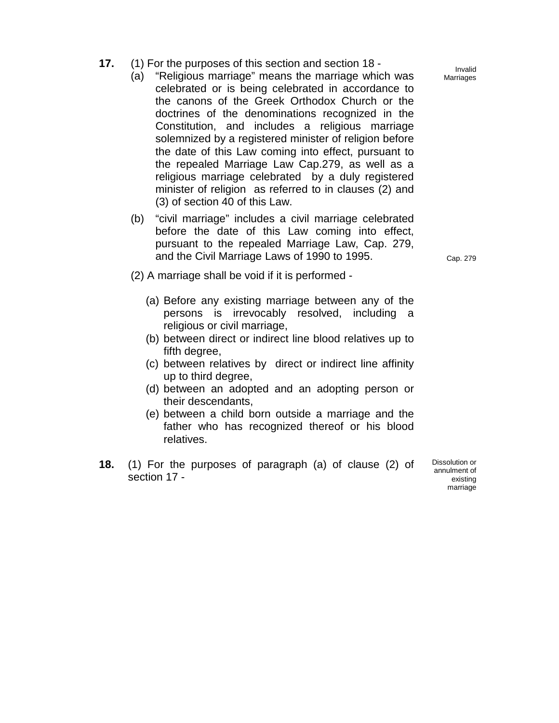- **17.** (1) For the purposes of this section and section 18
	- (a) "Religious marriage" means the marriage which was celebrated or is being celebrated in accordance to the canons of the Greek Orthodox Church or the doctrines of the denominations recognized in the Constitution, and includes a religious marriage solemnized by a registered minister of religion before the date of this Law coming into effect, pursuant to the repealed Marriage Law Cap.279, as well as a religious marriage celebrated by a duly registered minister of religion as referred to in clauses (2) and (3) of section 40 of this Law.
	- (b) "civil marriage" includes a civil marriage celebrated before the date of this Law coming into effect, pursuant to the repealed Marriage Law, Cap. 279, and the Civil Marriage Laws of 1990 to 1995.

- (2) A marriage shall be void if it is performed
	- (a) Before any existing marriage between any of the persons is irrevocably resolved, including a religious or civil marriage,
	- (b) between direct or indirect line blood relatives up to fifth degree,
	- (c) between relatives by direct or indirect line affinity up to third degree,
	- (d) between an adopted and an adopting person or their descendants,
	- (e) between a child born outside a marriage and the father who has recognized thereof or his blood relatives.
- **18.** (1) For the purposes of paragraph (a) of clause (2) of section 17 -

Dissolution or annulment of existing marriage

Invalid Marriages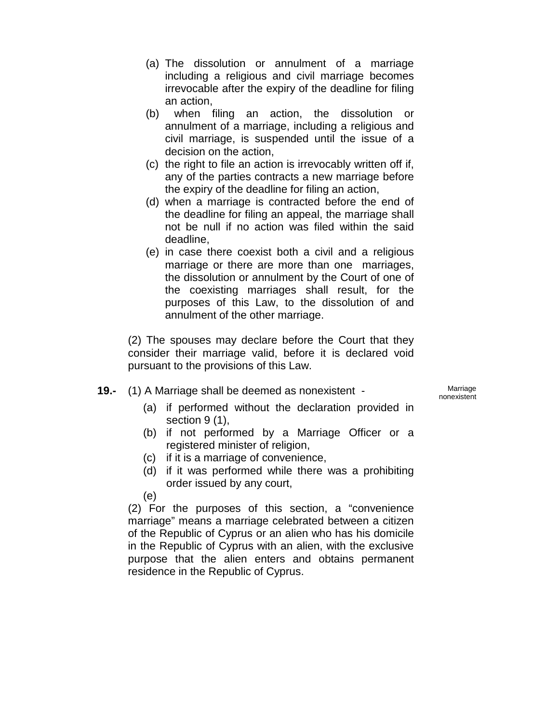- (a) The dissolution or annulment of a marriage including a religious and civil marriage becomes irrevocable after the expiry of the deadline for filing an action,
- (b) when filing an action, the dissolution or annulment of a marriage, including a religious and civil marriage, is suspended until the issue of a decision on the action,
- (c) the right to file an action is irrevocably written off if, any of the parties contracts a new marriage before the expiry of the deadline for filing an action,
- (d) when a marriage is contracted before the end of the deadline for filing an appeal, the marriage shall not be null if no action was filed within the said deadline,
- (e) in case there coexist both a civil and a religious marriage or there are more than one marriages, the dissolution or annulment by the Court of one of the coexisting marriages shall result, for the purposes of this Law, to the dissolution of and annulment of the other marriage.

(2) The spouses may declare before the Court that they consider their marriage valid, before it is declared void pursuant to the provisions of this Law.

**19.-** (1) A Marriage shall be deemed as nonexistent - Marriage

nonexistent

- (a) if performed without the declaration provided in section 9 (1),
- (b) if not performed by a Marriage Officer or a registered minister of religion,
- (c) if it is a marriage of convenience,
- (d) if it was performed while there was a prohibiting order issued by any court,

(e)

(2) For the purposes of this section, a "convenience marriage" means a marriage celebrated between a citizen of the Republic of Cyprus or an alien who has his domicile in the Republic of Cyprus with an alien, with the exclusive purpose that the alien enters and obtains permanent residence in the Republic of Cyprus.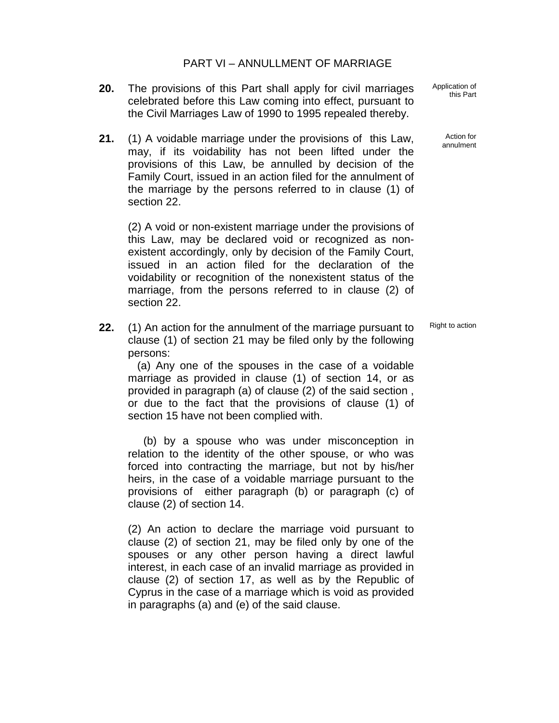- **20.** The provisions of this Part shall apply for civil marriages celebrated before this Law coming into effect, pursuant to the Civil Marriages Law of 1990 to 1995 repealed thereby.
- **21.** (1) A voidable marriage under the provisions of this Law, may, if its voidability has not been lifted under the provisions of this Law, be annulled by decision of the Family Court, issued in an action filed for the annulment of the marriage by the persons referred to in clause (1) of section 22.

(2) A void or non-existent marriage under the provisions of this Law, may be declared void or recognized as nonexistent accordingly, only by decision of the Family Court, issued in an action filed for the declaration of the voidability or recognition of the nonexistent status of the marriage, from the persons referred to in clause (2) of section 22.

**22.** (1) An action for the annulment of the marriage pursuant to clause (1) of section 21 may be filed only by the following persons:

 (a) Any one of the spouses in the case of a voidable marriage as provided in clause (1) of section 14, or as provided in paragraph (a) of clause (2) of the said section , or due to the fact that the provisions of clause (1) of section 15 have not been complied with.

 (b) by a spouse who was under misconception in relation to the identity of the other spouse, or who was forced into contracting the marriage, but not by his/her heirs, in the case of a voidable marriage pursuant to the provisions of either paragraph (b) or paragraph (c) of clause (2) of section 14.

(2) An action to declare the marriage void pursuant to clause (2) of section 21, may be filed only by one of the spouses or any other person having a direct lawful interest, in each case of an invalid marriage as provided in clause (2) of section 17, as well as by the Republic of Cyprus in the case of a marriage which is void as provided in paragraphs (a) and (e) of the said clause.

Application of this Part

> Action for annulment

Right to action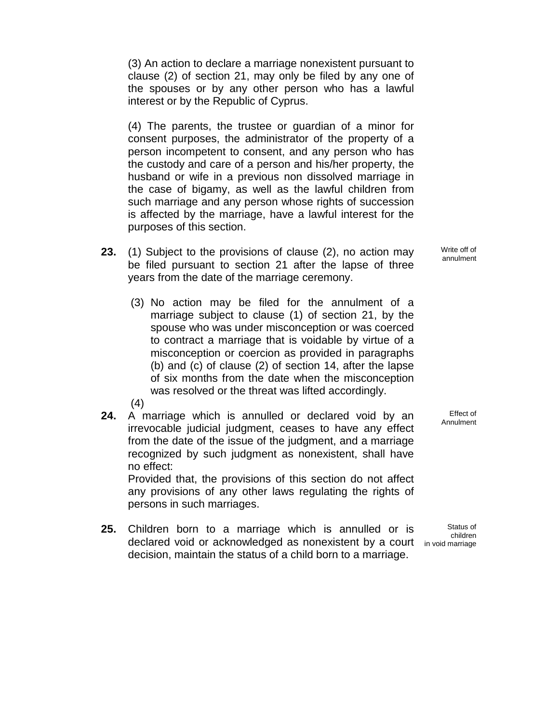(3) An action to declare a marriage nonexistent pursuant to clause (2) of section 21, may only be filed by any one of the spouses or by any other person who has a lawful interest or by the Republic of Cyprus.

(4) The parents, the trustee or guardian of a minor for consent purposes, the administrator of the property of a person incompetent to consent, and any person who has the custody and care of a person and his/her property, the husband or wife in a previous non dissolved marriage in the case of bigamy, as well as the lawful children from such marriage and any person whose rights of succession is affected by the marriage, have a lawful interest for the purposes of this section.

- **23.** (1) Subject to the provisions of clause (2), no action may be filed pursuant to section 21 after the lapse of three years from the date of the marriage ceremony.
	- (3) No action may be filed for the annulment of a marriage subject to clause (1) of section 21, by the spouse who was under misconception or was coerced to contract a marriage that is voidable by virtue of a misconception or coercion as provided in paragraphs (b) and (c) of clause (2) of section 14, after the lapse of six months from the date when the misconception was resolved or the threat was lifted accordingly.

(4)

**24.** A marriage which is annulled or declared void by an irrevocable judicial judgment, ceases to have any effect from the date of the issue of the judgment, and a marriage recognized by such judgment as nonexistent, shall have no effect:

Provided that, the provisions of this section do not affect any provisions of any other laws regulating the rights of persons in such marriages.

**25.** Children born to a marriage which is annulled or is declared void or acknowledged as nonexistent by a court in void marriage decision, maintain the status of a child born to a marriage.

Effect of Annulment

Status of children

Write off of annulment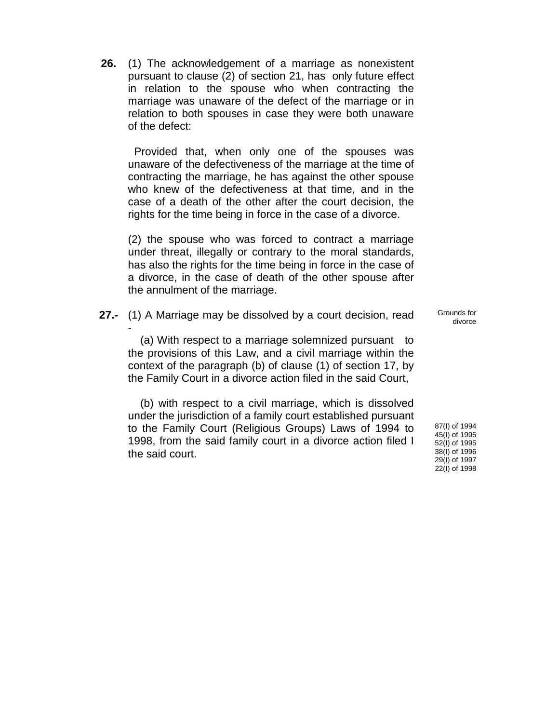**26.** (1) The acknowledgement of a marriage as nonexistent pursuant to clause (2) of section 21, has only future effect in relation to the spouse who when contracting the marriage was unaware of the defect of the marriage or in relation to both spouses in case they were both unaware of the defect:

 Provided that, when only one of the spouses was unaware of the defectiveness of the marriage at the time of contracting the marriage, he has against the other spouse who knew of the defectiveness at that time, and in the case of a death of the other after the court decision, the rights for the time being in force in the case of a divorce.

(2) the spouse who was forced to contract a marriage under threat, illegally or contrary to the moral standards, has also the rights for the time being in force in the case of a divorce, in the case of death of the other spouse after the annulment of the marriage.

**27.-** (1) A Marriage may be dissolved by a court decision, read -

 (a) With respect to a marriage solemnized pursuant to the provisions of this Law, and a civil marriage within the context of the paragraph (b) of clause (1) of section 17, by the Family Court in a divorce action filed in the said Court,

 (b) with respect to a civil marriage, which is dissolved under the jurisdiction of a family court established pursuant to the Family Court (Religious Groups) Laws of 1994 to 1998, from the said family court in a divorce action filed I the said court.

Grounds for divorce

87(I) of 1994 45(I) of 1995 52(I) of 1995 38(I) of 1996 29(I) of 1997 22(I) of 1998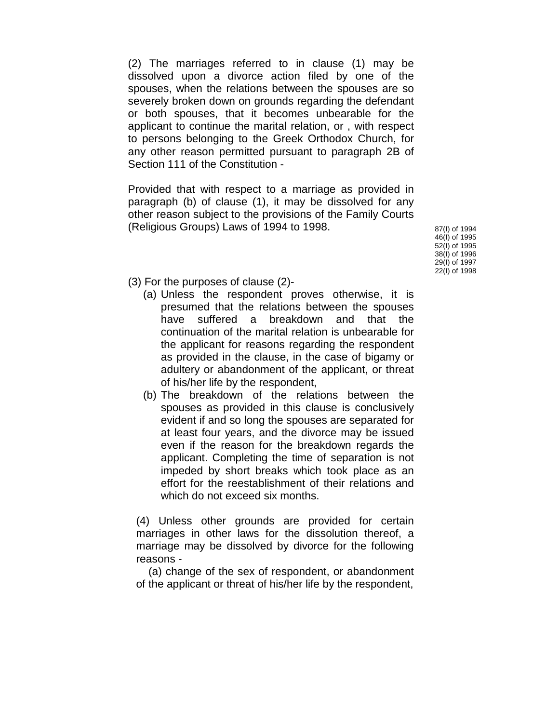(2) The marriages referred to in clause (1) may be dissolved upon a divorce action filed by one of the spouses, when the relations between the spouses are so severely broken down on grounds regarding the defendant or both spouses, that it becomes unbearable for the applicant to continue the marital relation, or , with respect to persons belonging to the Greek Orthodox Church, for any other reason permitted pursuant to paragraph 2B of Section 111 of the Constitution -

Provided that with respect to a marriage as provided in paragraph (b) of clause (1), it may be dissolved for any other reason subject to the provisions of the Family Courts (Religious Groups) Laws of 1994 to 1998.  $87(1)$  of 1994

46(I) of 1995 52(I) of 1995 38(I) of 1996 29(I) of 1997 22(I) of 1998

- (3) For the purposes of clause (2)-
	- (a) Unless the respondent proves otherwise, it is presumed that the relations between the spouses have suffered a breakdown and that the continuation of the marital relation is unbearable for the applicant for reasons regarding the respondent as provided in the clause, in the case of bigamy or adultery or abandonment of the applicant, or threat of his/her life by the respondent,
	- (b) The breakdown of the relations between the spouses as provided in this clause is conclusively evident if and so long the spouses are separated for at least four years, and the divorce may be issued even if the reason for the breakdown regards the applicant. Completing the time of separation is not impeded by short breaks which took place as an effort for the reestablishment of their relations and which do not exceed six months.

(4) Unless other grounds are provided for certain marriages in other laws for the dissolution thereof, a marriage may be dissolved by divorce for the following reasons -

 (a) change of the sex of respondent, or abandonment of the applicant or threat of his/her life by the respondent,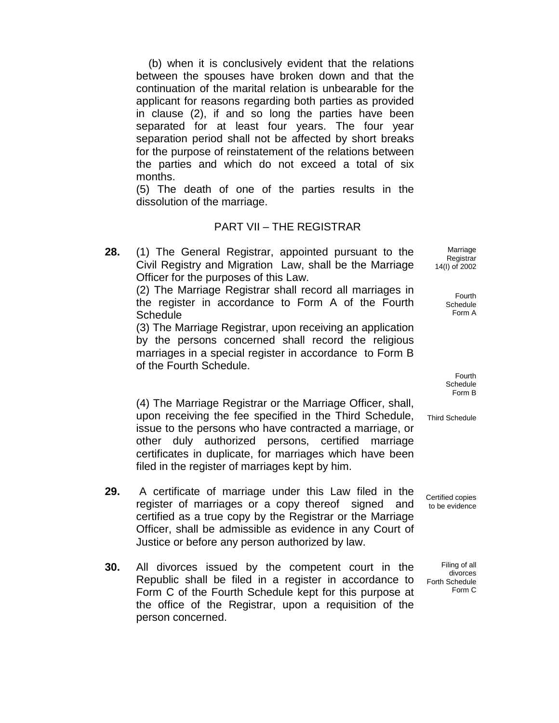(b) when it is conclusively evident that the relations between the spouses have broken down and that the continuation of the marital relation is unbearable for the applicant for reasons regarding both parties as provided in clause (2), if and so long the parties have been separated for at least four years. The four year separation period shall not be affected by short breaks for the purpose of reinstatement of the relations between the parties and which do not exceed a total of six months.

(5) The death of one of the parties results in the dissolution of the marriage.

#### PART VII – THE REGISTRAR

**28.** (1) The General Registrar, appointed pursuant to the Civil Registry and Migration Law, shall be the Marriage Officer for the purposes of this Law.

> (2) The Marriage Registrar shall record all marriages in the register in accordance to Form A of the Fourth **Schedule**

> (3) The Marriage Registrar, upon receiving an application by the persons concerned shall record the religious marriages in a special register in accordance to Form B of the Fourth Schedule.

Marriage **Registrar** 14(I) of 2002

> Fourth **Schedule** Form A

Fourth **Schedule** Form B

(4) The Marriage Registrar or the Marriage Officer, shall, upon receiving the fee specified in the Third Schedule, issue to the persons who have contracted a marriage, or other duly authorized persons, certified marriage certificates in duplicate, for marriages which have been filed in the register of marriages kept by him.

- **29.** A certificate of marriage under this Law filed in the register of marriages or a copy thereof signed and certified as a true copy by the Registrar or the Marriage Officer, shall be admissible as evidence in any Court of Justice or before any person authorized by law.
- **30.** All divorces issued by the competent court in the Republic shall be filed in a register in accordance to Form C of the Fourth Schedule kept for this purpose at the office of the Registrar, upon a requisition of the person concerned.

Third Schedule

Certified copies to be evidence

Filing of all divorces Forth Schedule Form C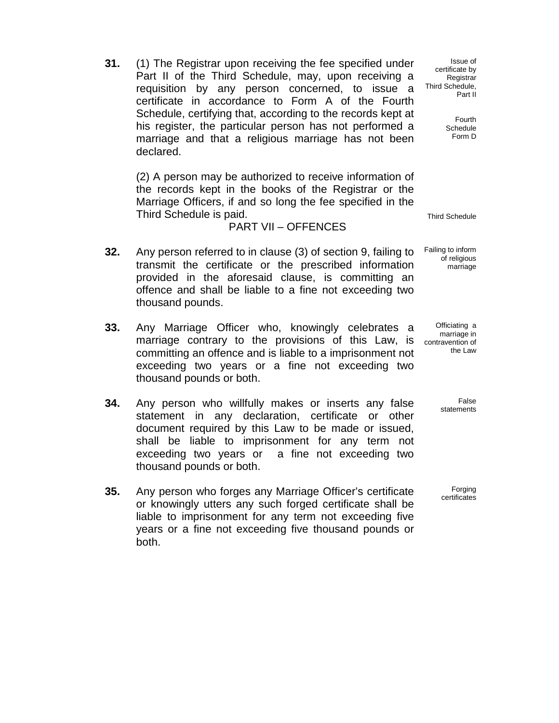**31.** (1) The Registrar upon receiving the fee specified under Part II of the Third Schedule, may, upon receiving a requisition by any person concerned, to issue a certificate in accordance to Form A of the Fourth Schedule, certifying that, according to the records kept at his register, the particular person has not performed a marriage and that a religious marriage has not been declared.

(2) A person may be authorized to receive information of the records kept in the books of the Registrar or the Marriage Officers, if and so long the fee specified in the Third Schedule is paid. Third Schedule is paid.

#### PART VII – OFFENCES

- **32.** Any person referred to in clause (3) of section 9, failing to transmit the certificate or the prescribed information provided in the aforesaid clause, is committing an offence and shall be liable to a fine not exceeding two thousand pounds.
- **33.** Any Marriage Officer who, knowingly celebrates a marriage contrary to the provisions of this Law, is committing an offence and is liable to a imprisonment not exceeding two years or a fine not exceeding two thousand pounds or both.
- **34.** Any person who willfully makes or inserts any false statement in any declaration, certificate or other document required by this Law to be made or issued, shall be liable to imprisonment for any term not exceeding two years or a fine not exceeding two thousand pounds or both.
- **35.** Any person who forges any Marriage Officer's certificate or knowingly utters any such forged certificate shall be liable to imprisonment for any term not exceeding five years or a fine not exceeding five thousand pounds or both.

Issue of certificate by Registrar Third Schedule, Part II

> Fourth Schedule Form D

Failing to inform of religious marriage

Officiating a marriage in contravention of the Law

> False statements

Forging certificates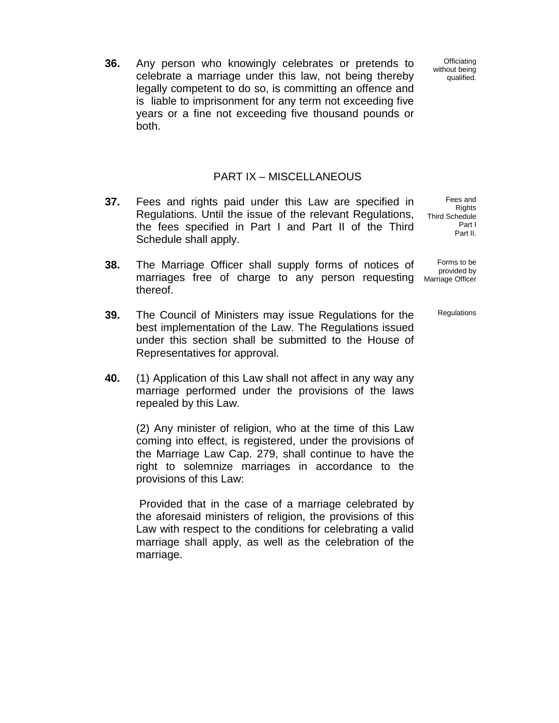**36.** Any person who knowingly celebrates or pretends to celebrate a marriage under this law, not being thereby legally competent to do so, is committing an offence and is liable to imprisonment for any term not exceeding five years or a fine not exceeding five thousand pounds or both.

#### PART IX – MISCELLANEOUS

- **37.** Fees and rights paid under this Law are specified in Regulations. Until the issue of the relevant Regulations, the fees specified in Part I and Part II of the Third Schedule shall apply.
- **38.** The Marriage Officer shall supply forms of notices of marriages free of charge to any person requesting thereof.
- **39.** The Council of Ministers may issue Regulations for the best implementation of the Law. The Regulations issued under this section shall be submitted to the House of Representatives for approval.
- **40.** (1) Application of this Law shall not affect in any way any marriage performed under the provisions of the laws repealed by this Law.

(2) Any minister of religion, who at the time of this Law coming into effect, is registered, under the provisions of the Marriage Law Cap. 279, shall continue to have the right to solemnize marriages in accordance to the provisions of this Law:

Provided that in the case of a marriage celebrated by the aforesaid ministers of religion, the provisions of this Law with respect to the conditions for celebrating a valid marriage shall apply, as well as the celebration of the marriage.

**Officiating** without being qualified.

Fees and Rights Third Schedule Part I Part II.

Forms to be provided by Marriage Officer

**Regulations**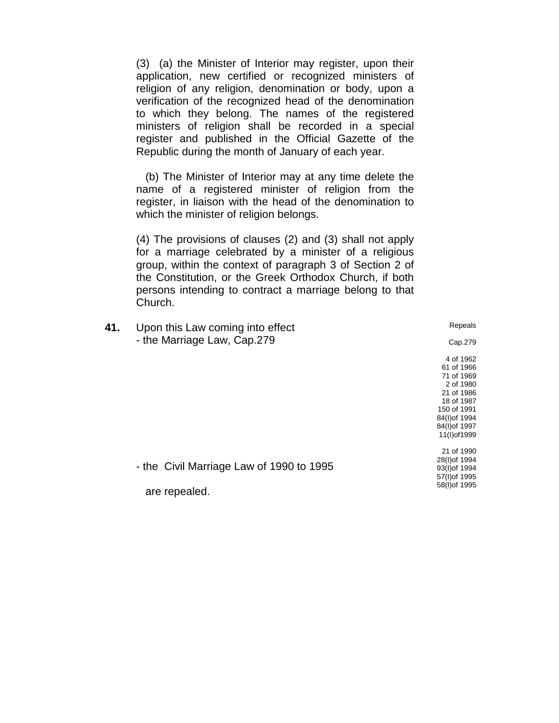(3) (a) the Minister of Interior may register, upon their application, new certified or recognized ministers of religion of any religion, denomination or body, upon a verification of the recognized head of the denomination to which they belong. The names of the registered ministers of religion shall be recorded in a special register and published in the Official Gazette of the Republic during the month of January of each year.

 (b) The Minister of Interior may at any time delete the name of a registered minister of religion from the register, in liaison with the head of the denomination to which the minister of religion belongs.

(4) The provisions of clauses (2) and (3) shall not apply for a marriage celebrated by a minister of a religious group, within the context of paragraph 3 of Section 2 of the Constitution, or the Greek Orthodox Church, if both persons intending to contract a marriage belong to that Church.

| 41. | Upon this Law coming into effect                          | Repeals                                                                        |
|-----|-----------------------------------------------------------|--------------------------------------------------------------------------------|
|     | - the Marriage Law, Cap.279                               | Cap.279                                                                        |
|     |                                                           | 4 of 1962<br>61 of 1966<br>71 of 1969<br>2 of 1980<br>21 of 1986               |
|     |                                                           | 18 of 1987<br>150 of 1991<br>84(I) of 1994<br>84(I) of 1997<br>11(I) of 1999   |
|     | - the Civil Marriage Law of 1990 to 1995<br>are repealed. | 21 of 1990<br>28(I) of 1994<br>93(I) of 1994<br>57(I) of 1995<br>58(I) of 1995 |
|     |                                                           |                                                                                |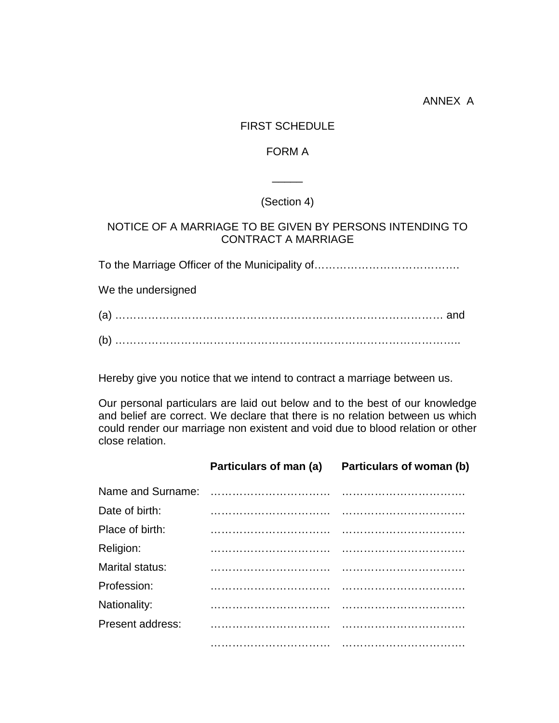#### FIRST SCHEDULE

#### FORM A

 $\overline{\phantom{a}}$ 

# (Section 4)

## NOTICE OF A MARRIAGE TO BE GIVEN BY PERSONS INTENDING TO CONTRACT A MARRIAGE

To the Marriage Officer of the Municipality of………………………………….

We the undersigned

| (a) |  |
|-----|--|
| (b) |  |

Hereby give you notice that we intend to contract a marriage between us.

Our personal particulars are laid out below and to the best of our knowledge and belief are correct. We declare that there is no relation between us which could render our marriage non existent and void due to blood relation or other close relation.

|                        | Particulars of man (a) Particulars of woman (b) |
|------------------------|-------------------------------------------------|
| Name and Surname:      |                                                 |
| Date of birth:         |                                                 |
| Place of birth:        |                                                 |
| Religion:              |                                                 |
| <b>Marital status:</b> |                                                 |
| Profession:            |                                                 |
| Nationality:           |                                                 |
| Present address:       |                                                 |
|                        |                                                 |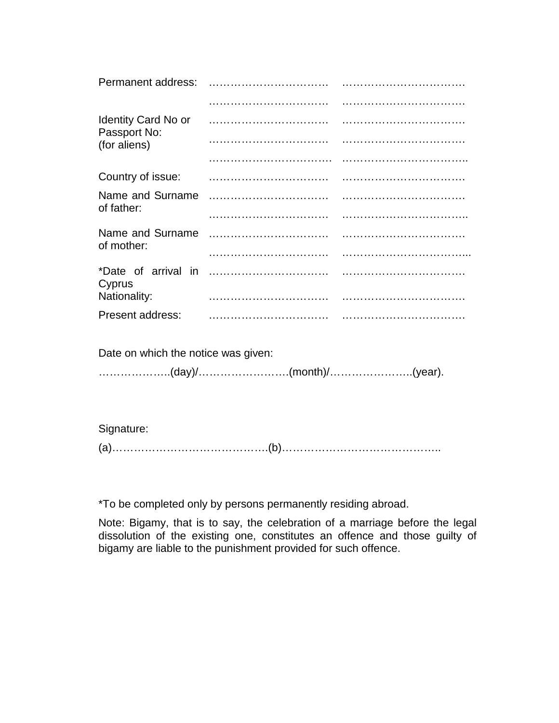| Permanent address:                         |  |
|--------------------------------------------|--|
|                                            |  |
| <b>Identity Card No or</b><br>Passport No: |  |
| (for aliens)                               |  |
|                                            |  |
| Country of issue:                          |  |
| Name and Surname<br>of father:             |  |
|                                            |  |
| Name and Surname<br>of mother:             |  |
|                                            |  |
| *Date of arrival in<br>Cyprus              |  |
| Nationality:                               |  |
| <b>Present address:</b>                    |  |
|                                            |  |

Date on which the notice was given:

………………..(day)/…………………….(month)/…………………..(year).

Signature:

(a)…………………………………….(b)……………………………………..

\*To be completed only by persons permanently residing abroad.

Note: Bigamy, that is to say, the celebration of a marriage before the legal dissolution of the existing one, constitutes an offence and those guilty of bigamy are liable to the punishment provided for such offence.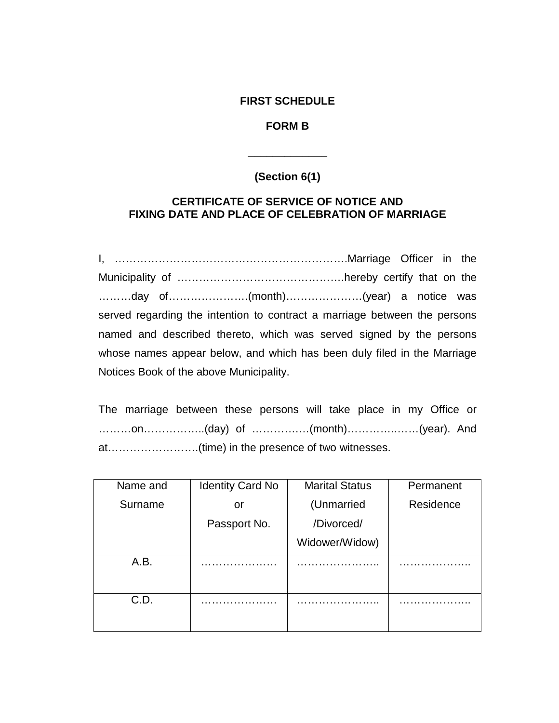#### **FIRST SCHEDULE**

## **FORM B**

# **(Section 6(1)**

**\_\_\_\_\_\_\_\_\_\_\_\_\_**

## **CERTIFICATE OF SERVICE OF NOTICE AND FIXING DATE AND PLACE OF CELEBRATION OF MARRIAGE**

I, ……………………………………………………….Marriage Officer in the Municipality of ……………………………………….hereby certify that on the ………day of………………….(month)…………………(year) a notice was served regarding the intention to contract a marriage between the persons named and described thereto, which was served signed by the persons whose names appear below, and which has been duly filed in the Marriage Notices Book of the above Municipality.

The marriage between these persons will take place in my Office or ………on……………..(day) of ………….…(month)…………..……(year). And at…………………….(time) in the presence of two witnesses.

| Name and | <b>Identity Card No</b> | <b>Marital Status</b> | Permanent |
|----------|-------------------------|-----------------------|-----------|
| Surname  | or                      | (Unmarried            | Residence |
|          | Passport No.            | /Divorced/            |           |
|          |                         | Widower/Widow)        |           |
| A.B.     |                         |                       |           |
|          |                         |                       |           |
| C.D.     |                         |                       |           |
|          |                         |                       |           |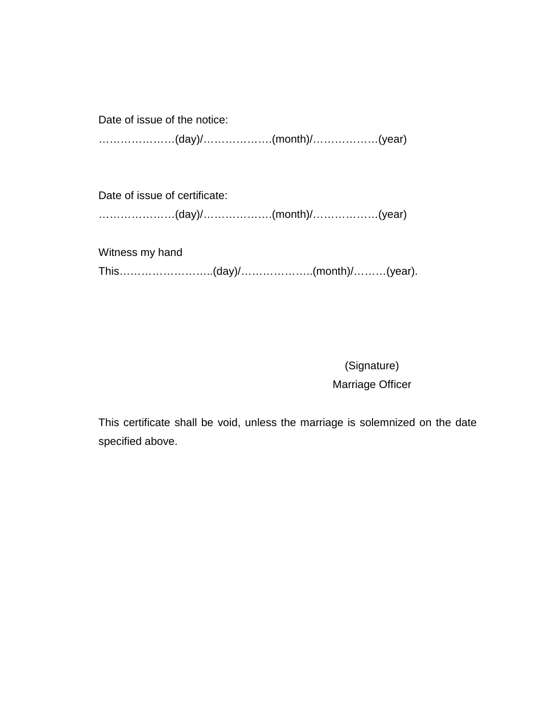Date of issue of the notice: …………………(day)/……………….(month)/………………(year)

Date of issue of certificate: …………………(day)/……………….(month)/………………(year)

Witness my hand This……………………..(day)/………………..(month)/………(year).

> (Signature) Marriage Officer

This certificate shall be void, unless the marriage is solemnized on the date specified above.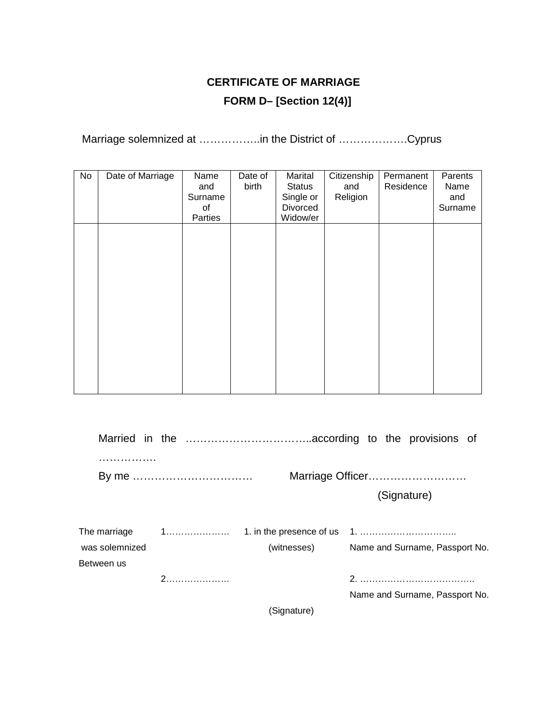# **CERTIFICATE OF MARRIAGE FORM D– [Section 12(4)]**

Marriage solemnized at ……………..in the District of ……………….Cyprus

| No | Date of Marriage | Name<br>and<br>Surname<br>οf<br>Parties | Date of<br>birth | Marital<br><b>Status</b><br>Single or<br>Divorced<br>Widow/er | Citizenship<br>and<br>Religion | Permanent<br>Residence | Parents<br>Name<br>and<br>Surname |
|----|------------------|-----------------------------------------|------------------|---------------------------------------------------------------|--------------------------------|------------------------|-----------------------------------|
|    |                  |                                         |                  |                                                               |                                |                        |                                   |
|    |                  |                                         |                  |                                                               |                                |                        |                                   |
|    |                  |                                         |                  |                                                               |                                |                        |                                   |

|                              |             | Marriage Officer               |
|------------------------------|-------------|--------------------------------|
|                              |             | (Signature)                    |
|                              |             |                                |
| was solemnized<br>Between us | (witnesses) | Name and Surname, Passport No. |
|                              |             |                                |
|                              |             | Name and Surname, Passport No. |
|                              | (Signature) |                                |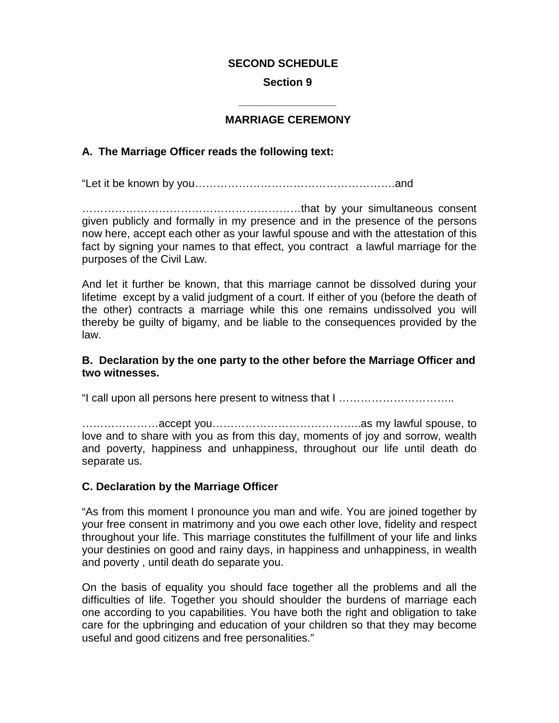#### **SECOND SCHEDULE**

#### **Section 9**

# **\_\_\_\_\_\_\_\_\_\_\_\_\_\_\_\_ MARRIAGE CEREMONY**

#### **A. The Marriage Officer reads the following text:**

"Let it be known by you……………………………………………….and

……………………………………………………that by your simultaneous consent given publicly and formally in my presence and in the presence of the persons now here, accept each other as your lawful spouse and with the attestation of this fact by signing your names to that effect, you contract a lawful marriage for the purposes of the Civil Law.

And let it further be known, that this marriage cannot be dissolved during your lifetime except by a valid judgment of a court. If either of you (before the death of the other) contracts a marriage while this one remains undissolved you will thereby be guilty of bigamy, and be liable to the consequences provided by the law.

#### **B. Declaration by the one party to the other before the Marriage Officer and two witnesses.**

"I call upon all persons here present to witness that I …………………………..

…………………accept you…………………………………..as my lawful spouse, to love and to share with you as from this day, moments of joy and sorrow, wealth and poverty, happiness and unhappiness, throughout our life until death do separate us.

#### **C. Declaration by the Marriage Officer**

"As from this moment I pronounce you man and wife. You are joined together by your free consent in matrimony and you owe each other love, fidelity and respect throughout your life. This marriage constitutes the fulfillment of your life and links your destinies on good and rainy days, in happiness and unhappiness, in wealth and poverty , until death do separate you.

On the basis of equality you should face together all the problems and all the difficulties of life. Together you should shoulder the burdens of marriage each one according to you capabilities. You have both the right and obligation to take care for the upbringing and education of your children so that they may become useful and good citizens and free personalities."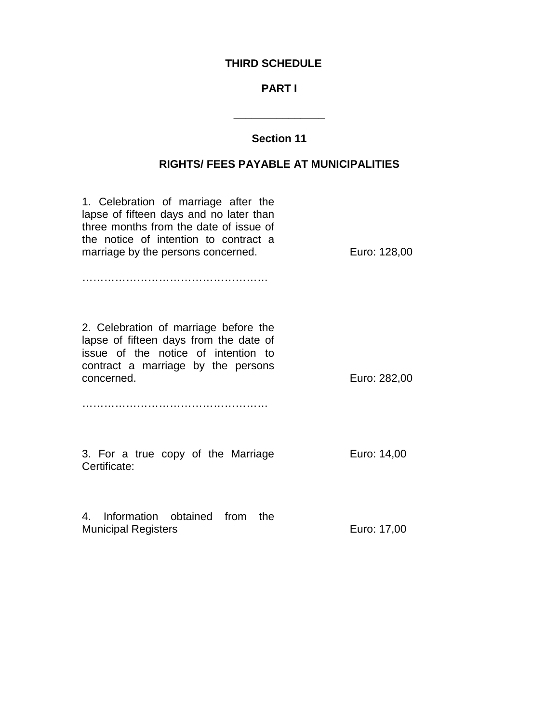#### **THIRD SCHEDULE**

#### **PART I**

#### **Section 11**

**\_\_\_\_\_\_\_\_\_\_\_\_\_\_\_**

#### **RIGHTS/ FEES PAYABLE AT MUNICIPALITIES**

1. Celebration of marriage after the lapse of fifteen days and no later than three months from the date of issue of the notice of intention to contract a marriage by the persons concerned. …………………………………………… Euro: 128,00 2. Celebration of marriage before the lapse of fifteen days from the date of issue of the notice of intention to contract a marriage by the persons concerned. …………………………………………… Euro: 282,00 3. For a true copy of the Marriage Certificate: Euro: 14,00 4. Information obtained from the Municipal Registers **Euro: 17,00**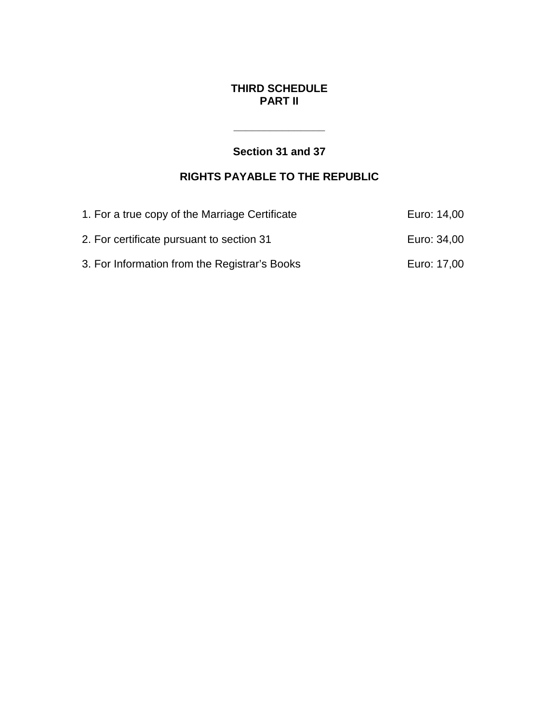## **THIRD SCHEDULE PART II**

# **Section 31 and 37**

**\_\_\_\_\_\_\_\_\_\_\_\_\_\_\_**

# **RIGHTS PAYABLE TO THE REPUBLIC**

| 1. For a true copy of the Marriage Certificate | Euro: 14,00 |
|------------------------------------------------|-------------|
| 2. For certificate pursuant to section 31      | Euro: 34,00 |
| 3. For Information from the Registrar's Books  | Euro: 17,00 |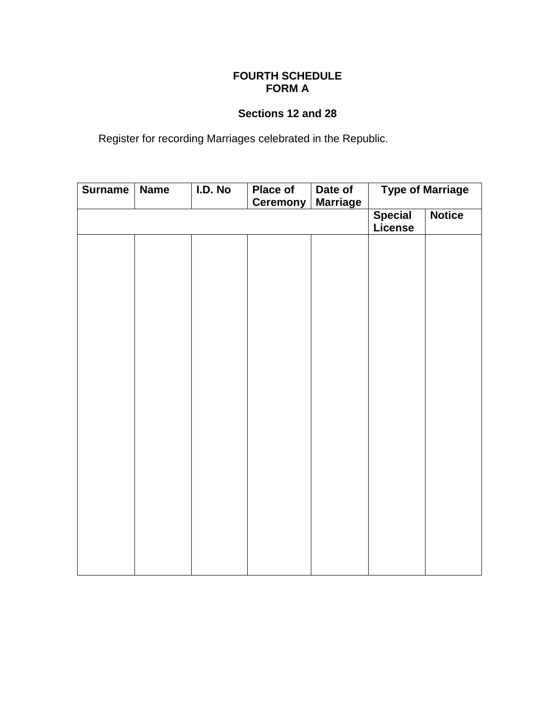## **FOURTH SCHEDULE FORM A**

## **Sections 12 and 28**

Register for recording Marriages celebrated in the Republic.

| <b>Surname</b> | <b>Name</b> | I.D. No | Place of<br><b>Ceremony</b> | Date of<br><b>Marriage</b> | <b>Type of Marriage</b> |  |
|----------------|-------------|---------|-----------------------------|----------------------------|-------------------------|--|
|                |             |         |                             | <b>Special</b><br>License  | <b>Notice</b>           |  |
|                |             |         |                             |                            |                         |  |
|                |             |         |                             |                            |                         |  |
|                |             |         |                             |                            |                         |  |
|                |             |         |                             |                            |                         |  |
|                |             |         |                             |                            |                         |  |
|                |             |         |                             |                            |                         |  |
|                |             |         |                             |                            |                         |  |
|                |             |         |                             |                            |                         |  |
|                |             |         |                             |                            |                         |  |
|                |             |         |                             |                            |                         |  |
|                |             |         |                             |                            |                         |  |
|                |             |         |                             |                            |                         |  |
|                |             |         |                             |                            |                         |  |
|                |             |         |                             |                            |                         |  |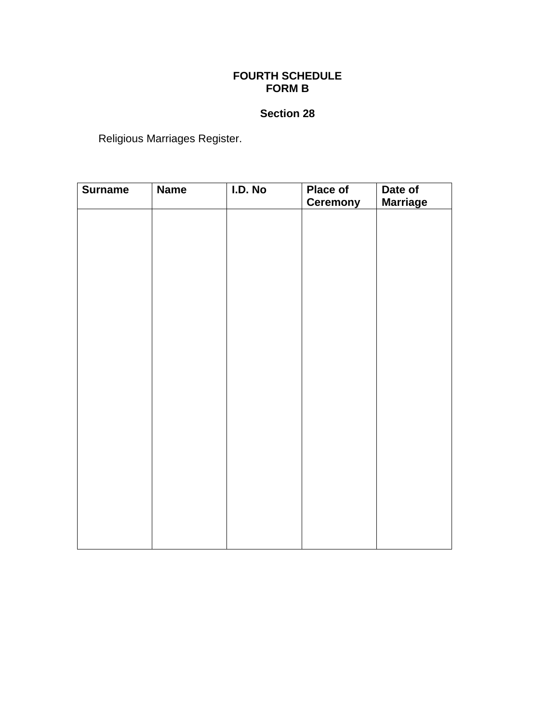## **FOURTH SCHEDULE FORM B**

# **Section 28**

Religious Marriages Register.

| <b>Surname</b> | <b>Name</b> | I.D. No | Place of<br><b>Ceremony</b> | Date of<br><b>Marriage</b> |
|----------------|-------------|---------|-----------------------------|----------------------------|
|                |             |         |                             |                            |
|                |             |         |                             |                            |
|                |             |         |                             |                            |
|                |             |         |                             |                            |
|                |             |         |                             |                            |
|                |             |         |                             |                            |
|                |             |         |                             |                            |
|                |             |         |                             |                            |
|                |             |         |                             |                            |
|                |             |         |                             |                            |
|                |             |         |                             |                            |
|                |             |         |                             |                            |
|                |             |         |                             |                            |
|                |             |         |                             |                            |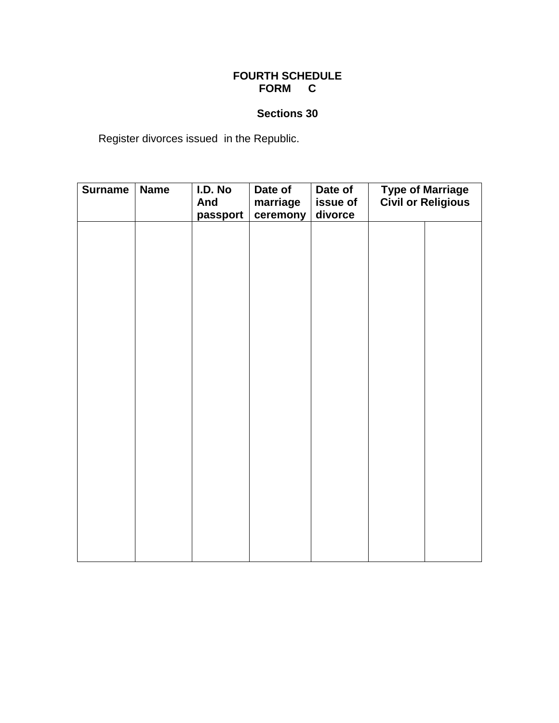## **FOURTH SCHEDULE FORM C**

# **Sections 30**

Register divorces issued in the Republic.

| <b>Surname</b> | <b>Name</b> | I.D. No<br>And<br>passport | Date of<br>marriage<br>ceremony | Date of<br>issue of<br>divorce | <b>Type of Marriage</b><br><b>Civil or Religious</b> |  |
|----------------|-------------|----------------------------|---------------------------------|--------------------------------|------------------------------------------------------|--|
|                |             |                            |                                 |                                |                                                      |  |
|                |             |                            |                                 |                                |                                                      |  |
|                |             |                            |                                 |                                |                                                      |  |
|                |             |                            |                                 |                                |                                                      |  |
|                |             |                            |                                 |                                |                                                      |  |
|                |             |                            |                                 |                                |                                                      |  |
|                |             |                            |                                 |                                |                                                      |  |
|                |             |                            |                                 |                                |                                                      |  |